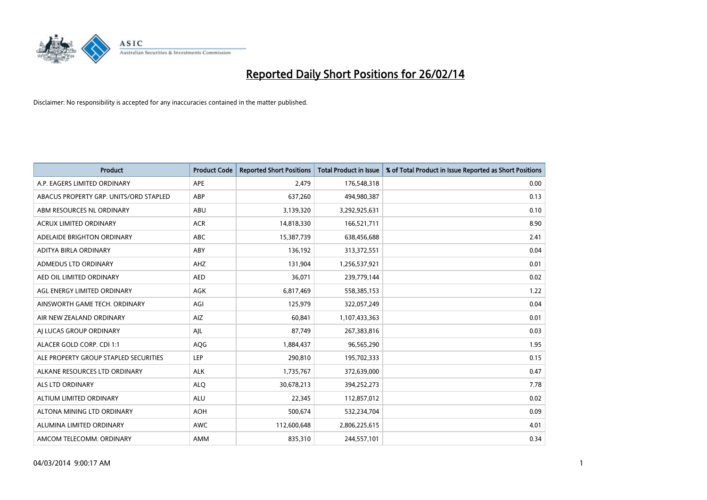

| <b>Product</b>                         | <b>Product Code</b> | <b>Reported Short Positions</b> | <b>Total Product in Issue</b> | % of Total Product in Issue Reported as Short Positions |
|----------------------------------------|---------------------|---------------------------------|-------------------------------|---------------------------------------------------------|
| A.P. EAGERS LIMITED ORDINARY           | <b>APE</b>          | 2,479                           | 176,548,318                   | 0.00                                                    |
| ABACUS PROPERTY GRP. UNITS/ORD STAPLED | <b>ABP</b>          | 637,260                         | 494,980,387                   | 0.13                                                    |
| ABM RESOURCES NL ORDINARY              | <b>ABU</b>          | 3,139,320                       | 3,292,925,631                 | 0.10                                                    |
| <b>ACRUX LIMITED ORDINARY</b>          | <b>ACR</b>          | 14,818,330                      | 166,521,711                   | 8.90                                                    |
| ADELAIDE BRIGHTON ORDINARY             | <b>ABC</b>          | 15,387,739                      | 638,456,688                   | 2.41                                                    |
| ADITYA BIRLA ORDINARY                  | ABY                 | 136,192                         | 313,372,551                   | 0.04                                                    |
| ADMEDUS LTD ORDINARY                   | <b>AHZ</b>          | 131,904                         | 1,256,537,921                 | 0.01                                                    |
| AED OIL LIMITED ORDINARY               | <b>AED</b>          | 36,071                          | 239,779,144                   | 0.02                                                    |
| AGL ENERGY LIMITED ORDINARY            | AGK                 | 6,817,469                       | 558,385,153                   | 1.22                                                    |
| AINSWORTH GAME TECH. ORDINARY          | AGI                 | 125,979                         | 322,057,249                   | 0.04                                                    |
| AIR NEW ZEALAND ORDINARY               | AIZ                 | 60,841                          | 1,107,433,363                 | 0.01                                                    |
| AI LUCAS GROUP ORDINARY                | AJL                 | 87,749                          | 267,383,816                   | 0.03                                                    |
| ALACER GOLD CORP. CDI 1:1              | <b>AQG</b>          | 1,884,437                       | 96,565,290                    | 1.95                                                    |
| ALE PROPERTY GROUP STAPLED SECURITIES  | <b>LEP</b>          | 290,810                         | 195,702,333                   | 0.15                                                    |
| ALKANE RESOURCES LTD ORDINARY          | <b>ALK</b>          | 1,735,767                       | 372,639,000                   | 0.47                                                    |
| ALS LTD ORDINARY                       | <b>ALQ</b>          | 30,678,213                      | 394,252,273                   | 7.78                                                    |
| ALTIUM LIMITED ORDINARY                | <b>ALU</b>          | 22,345                          | 112,857,012                   | 0.02                                                    |
| ALTONA MINING LTD ORDINARY             | <b>AOH</b>          | 500,674                         | 532,234,704                   | 0.09                                                    |
| ALUMINA LIMITED ORDINARY               | <b>AWC</b>          | 112,600,648                     | 2,806,225,615                 | 4.01                                                    |
| AMCOM TELECOMM. ORDINARY               | <b>AMM</b>          | 835,310                         | 244,557,101                   | 0.34                                                    |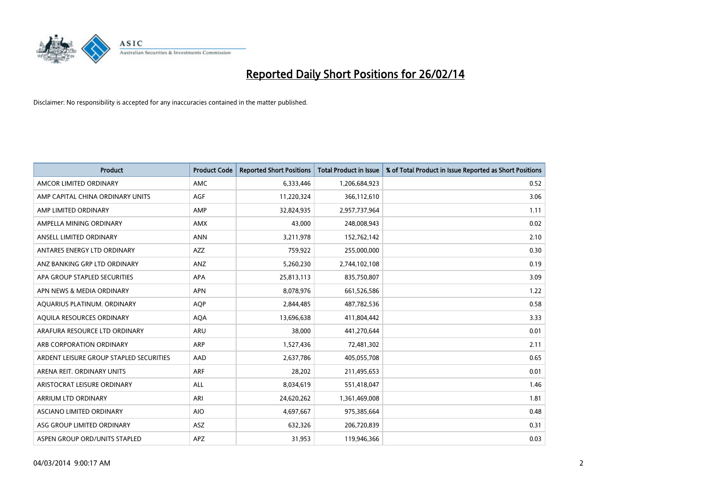

| Product                                 | <b>Product Code</b> | <b>Reported Short Positions</b> | <b>Total Product in Issue</b> | % of Total Product in Issue Reported as Short Positions |
|-----------------------------------------|---------------------|---------------------------------|-------------------------------|---------------------------------------------------------|
| AMCOR LIMITED ORDINARY                  | <b>AMC</b>          | 6,333,446                       | 1,206,684,923                 | 0.52                                                    |
| AMP CAPITAL CHINA ORDINARY UNITS        | <b>AGF</b>          | 11,220,324                      | 366,112,610                   | 3.06                                                    |
| AMP LIMITED ORDINARY                    | AMP                 | 32,824,935                      | 2,957,737,964                 | 1.11                                                    |
| AMPELLA MINING ORDINARY                 | <b>AMX</b>          | 43,000                          | 248,008,943                   | 0.02                                                    |
| ANSELL LIMITED ORDINARY                 | <b>ANN</b>          | 3,211,978                       | 152,762,142                   | 2.10                                                    |
| ANTARES ENERGY LTD ORDINARY             | <b>AZZ</b>          | 759,922                         | 255,000,000                   | 0.30                                                    |
| ANZ BANKING GRP LTD ORDINARY            | <b>ANZ</b>          | 5,260,230                       | 2,744,102,108                 | 0.19                                                    |
| APA GROUP STAPLED SECURITIES            | <b>APA</b>          | 25,813,113                      | 835,750,807                   | 3.09                                                    |
| APN NEWS & MEDIA ORDINARY               | <b>APN</b>          | 8,078,976                       | 661,526,586                   | 1.22                                                    |
| AQUARIUS PLATINUM. ORDINARY             | <b>AQP</b>          | 2,844,485                       | 487,782,536                   | 0.58                                                    |
| AQUILA RESOURCES ORDINARY               | <b>AQA</b>          | 13,696,638                      | 411,804,442                   | 3.33                                                    |
| ARAFURA RESOURCE LTD ORDINARY           | <b>ARU</b>          | 38,000                          | 441,270,644                   | 0.01                                                    |
| ARB CORPORATION ORDINARY                | <b>ARP</b>          | 1,527,436                       | 72,481,302                    | 2.11                                                    |
| ARDENT LEISURE GROUP STAPLED SECURITIES | AAD                 | 2,637,786                       | 405,055,708                   | 0.65                                                    |
| ARENA REIT. ORDINARY UNITS              | ARF                 | 28,202                          | 211,495,653                   | 0.01                                                    |
| ARISTOCRAT LEISURE ORDINARY             | ALL                 | 8,034,619                       | 551,418,047                   | 1.46                                                    |
| ARRIUM LTD ORDINARY                     | ARI                 | 24,620,262                      | 1,361,469,008                 | 1.81                                                    |
| ASCIANO LIMITED ORDINARY                | <b>AIO</b>          | 4,697,667                       | 975,385,664                   | 0.48                                                    |
| ASG GROUP LIMITED ORDINARY              | <b>ASZ</b>          | 632,326                         | 206,720,839                   | 0.31                                                    |
| ASPEN GROUP ORD/UNITS STAPLED           | <b>APZ</b>          | 31,953                          | 119,946,366                   | 0.03                                                    |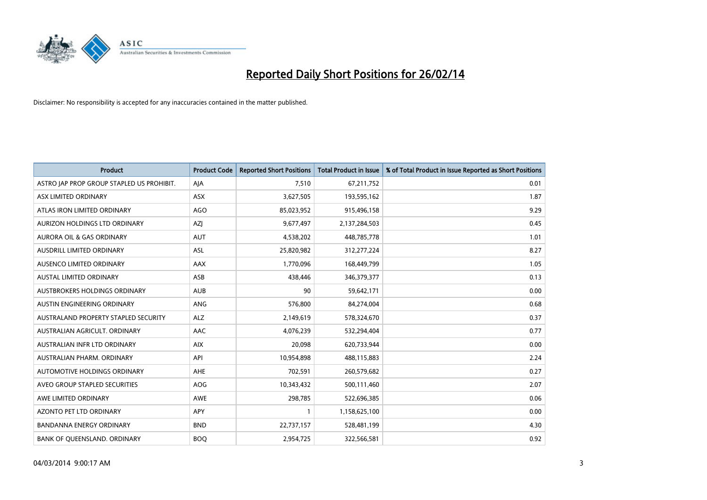

| <b>Product</b>                            | <b>Product Code</b> | <b>Reported Short Positions</b> | <b>Total Product in Issue</b> | % of Total Product in Issue Reported as Short Positions |
|-------------------------------------------|---------------------|---------------------------------|-------------------------------|---------------------------------------------------------|
| ASTRO JAP PROP GROUP STAPLED US PROHIBIT. | AJA                 | 7.510                           | 67,211,752                    | 0.01                                                    |
| ASX LIMITED ORDINARY                      | <b>ASX</b>          | 3,627,505                       | 193,595,162                   | 1.87                                                    |
| ATLAS IRON LIMITED ORDINARY               | <b>AGO</b>          | 85,023,952                      | 915,496,158                   | 9.29                                                    |
| AURIZON HOLDINGS LTD ORDINARY             | AZJ                 | 9,677,497                       | 2,137,284,503                 | 0.45                                                    |
| <b>AURORA OIL &amp; GAS ORDINARY</b>      | <b>AUT</b>          | 4,538,202                       | 448,785,778                   | 1.01                                                    |
| AUSDRILL LIMITED ORDINARY                 | ASL                 | 25,820,982                      | 312,277,224                   | 8.27                                                    |
| AUSENCO LIMITED ORDINARY                  | <b>AAX</b>          | 1,770,096                       | 168,449,799                   | 1.05                                                    |
| <b>AUSTAL LIMITED ORDINARY</b>            | ASB                 | 438,446                         | 346,379,377                   | 0.13                                                    |
| AUSTBROKERS HOLDINGS ORDINARY             | <b>AUB</b>          | 90                              | 59,642,171                    | 0.00                                                    |
| AUSTIN ENGINEERING ORDINARY               | ANG                 | 576,800                         | 84,274,004                    | 0.68                                                    |
| AUSTRALAND PROPERTY STAPLED SECURITY      | <b>ALZ</b>          | 2,149,619                       | 578,324,670                   | 0.37                                                    |
| AUSTRALIAN AGRICULT. ORDINARY             | AAC                 | 4,076,239                       | 532,294,404                   | 0.77                                                    |
| AUSTRALIAN INFR LTD ORDINARY              | <b>AIX</b>          | 20,098                          | 620,733,944                   | 0.00                                                    |
| AUSTRALIAN PHARM, ORDINARY                | API                 | 10,954,898                      | 488,115,883                   | 2.24                                                    |
| AUTOMOTIVE HOLDINGS ORDINARY              | <b>AHE</b>          | 702,591                         | 260,579,682                   | 0.27                                                    |
| AVEO GROUP STAPLED SECURITIES             | <b>AOG</b>          | 10,343,432                      | 500,111,460                   | 2.07                                                    |
| AWE LIMITED ORDINARY                      | <b>AWE</b>          | 298,785                         | 522,696,385                   | 0.06                                                    |
| <b>AZONTO PET LTD ORDINARY</b>            | <b>APY</b>          | $\mathbf{1}$                    | 1,158,625,100                 | 0.00                                                    |
| <b>BANDANNA ENERGY ORDINARY</b>           | <b>BND</b>          | 22,737,157                      | 528,481,199                   | 4.30                                                    |
| BANK OF QUEENSLAND. ORDINARY              | <b>BOQ</b>          | 2,954,725                       | 322,566,581                   | 0.92                                                    |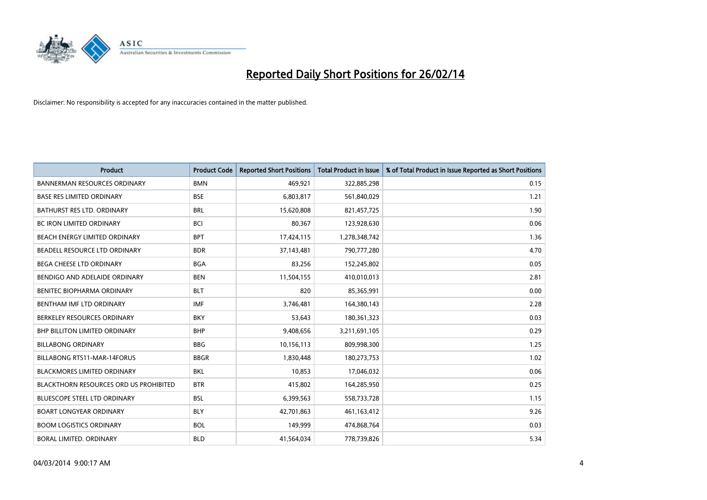

| <b>Product</b>                         | <b>Product Code</b> | <b>Reported Short Positions</b> | <b>Total Product in Issue</b> | % of Total Product in Issue Reported as Short Positions |
|----------------------------------------|---------------------|---------------------------------|-------------------------------|---------------------------------------------------------|
| <b>BANNERMAN RESOURCES ORDINARY</b>    | <b>BMN</b>          | 469,921                         | 322,885,298                   | 0.15                                                    |
| BASE RES LIMITED ORDINARY              | <b>BSE</b>          | 6,803,817                       | 561,840,029                   | 1.21                                                    |
| BATHURST RES LTD. ORDINARY             | <b>BRL</b>          | 15,620,808                      | 821,457,725                   | 1.90                                                    |
| <b>BC IRON LIMITED ORDINARY</b>        | <b>BCI</b>          | 80,367                          | 123,928,630                   | 0.06                                                    |
| BEACH ENERGY LIMITED ORDINARY          | <b>BPT</b>          | 17,424,115                      | 1,278,348,742                 | 1.36                                                    |
| BEADELL RESOURCE LTD ORDINARY          | <b>BDR</b>          | 37,143,481                      | 790,777,280                   | 4.70                                                    |
| <b>BEGA CHEESE LTD ORDINARY</b>        | <b>BGA</b>          | 83,256                          | 152,245,802                   | 0.05                                                    |
| BENDIGO AND ADELAIDE ORDINARY          | <b>BEN</b>          | 11,504,155                      | 410,010,013                   | 2.81                                                    |
| <b>BENITEC BIOPHARMA ORDINARY</b>      | <b>BLT</b>          | 820                             | 85,365,991                    | 0.00                                                    |
| BENTHAM IMF LTD ORDINARY               | <b>IMF</b>          | 3,746,481                       | 164,380,143                   | 2.28                                                    |
| BERKELEY RESOURCES ORDINARY            | <b>BKY</b>          | 53,643                          | 180,361,323                   | 0.03                                                    |
| BHP BILLITON LIMITED ORDINARY          | <b>BHP</b>          | 9,408,656                       | 3,211,691,105                 | 0.29                                                    |
| <b>BILLABONG ORDINARY</b>              | <b>BBG</b>          | 10,156,113                      | 809,998,300                   | 1.25                                                    |
| <b>BILLABONG RTS11-MAR-14FORUS</b>     | <b>BBGR</b>         | 1,830,448                       | 180,273,753                   | 1.02                                                    |
| <b>BLACKMORES LIMITED ORDINARY</b>     | <b>BKL</b>          | 10,853                          | 17,046,032                    | 0.06                                                    |
| BLACKTHORN RESOURCES ORD US PROHIBITED | <b>BTR</b>          | 415,802                         | 164,285,950                   | 0.25                                                    |
| BLUESCOPE STEEL LTD ORDINARY           | <b>BSL</b>          | 6,399,563                       | 558,733,728                   | 1.15                                                    |
| <b>BOART LONGYEAR ORDINARY</b>         | <b>BLY</b>          | 42,701,863                      | 461,163,412                   | 9.26                                                    |
| <b>BOOM LOGISTICS ORDINARY</b>         | <b>BOL</b>          | 149,999                         | 474,868,764                   | 0.03                                                    |
| BORAL LIMITED. ORDINARY                | <b>BLD</b>          | 41,564,034                      | 778,739,826                   | 5.34                                                    |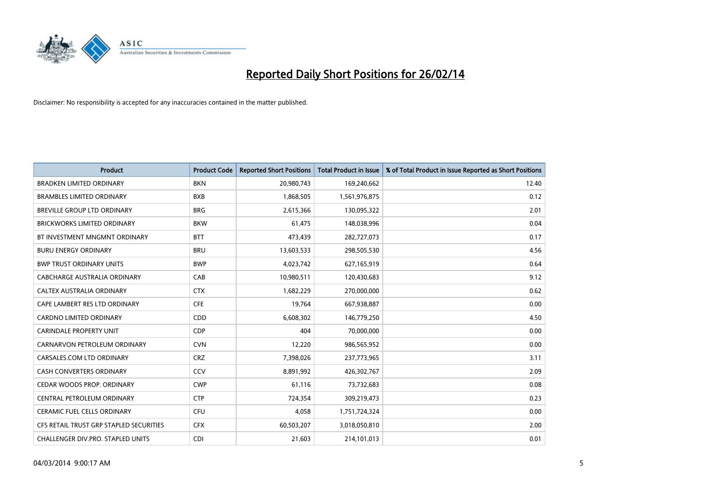

| <b>Product</b>                          | <b>Product Code</b> | <b>Reported Short Positions</b> | <b>Total Product in Issue</b> | % of Total Product in Issue Reported as Short Positions |
|-----------------------------------------|---------------------|---------------------------------|-------------------------------|---------------------------------------------------------|
| <b>BRADKEN LIMITED ORDINARY</b>         | <b>BKN</b>          | 20,980,743                      | 169,240,662                   | 12.40                                                   |
| <b>BRAMBLES LIMITED ORDINARY</b>        | <b>BXB</b>          | 1,868,505                       | 1,561,976,875                 | 0.12                                                    |
| BREVILLE GROUP LTD ORDINARY             | <b>BRG</b>          | 2,615,366                       | 130,095,322                   | 2.01                                                    |
| <b>BRICKWORKS LIMITED ORDINARY</b>      | <b>BKW</b>          | 61,475                          | 148,038,996                   | 0.04                                                    |
| BT INVESTMENT MNGMNT ORDINARY           | <b>BTT</b>          | 473,439                         | 282,727,073                   | 0.17                                                    |
| <b>BURU ENERGY ORDINARY</b>             | <b>BRU</b>          | 13,603,533                      | 298,505,530                   | 4.56                                                    |
| <b>BWP TRUST ORDINARY UNITS</b>         | <b>BWP</b>          | 4,023,742                       | 627,165,919                   | 0.64                                                    |
| <b>CABCHARGE AUSTRALIA ORDINARY</b>     | CAB                 | 10,980,511                      | 120,430,683                   | 9.12                                                    |
| CALTEX AUSTRALIA ORDINARY               | <b>CTX</b>          | 1,682,229                       | 270,000,000                   | 0.62                                                    |
| CAPE LAMBERT RES LTD ORDINARY           | <b>CFE</b>          | 19,764                          | 667,938,887                   | 0.00                                                    |
| CARDNO LIMITED ORDINARY                 | CDD                 | 6,608,302                       | 146,779,250                   | 4.50                                                    |
| <b>CARINDALE PROPERTY UNIT</b>          | <b>CDP</b>          | 404                             | 70,000,000                    | 0.00                                                    |
| CARNARVON PETROLEUM ORDINARY            | <b>CVN</b>          | 12,220                          | 986,565,952                   | 0.00                                                    |
| CARSALES.COM LTD ORDINARY               | <b>CRZ</b>          | 7,398,026                       | 237,773,965                   | 3.11                                                    |
| CASH CONVERTERS ORDINARY                | CCV                 | 8,891,992                       | 426,302,767                   | 2.09                                                    |
| CEDAR WOODS PROP. ORDINARY              | <b>CWP</b>          | 61,116                          | 73,732,683                    | 0.08                                                    |
| CENTRAL PETROLEUM ORDINARY              | <b>CTP</b>          | 724,354                         | 309,219,473                   | 0.23                                                    |
| <b>CERAMIC FUEL CELLS ORDINARY</b>      | <b>CFU</b>          | 4.058                           | 1,751,724,324                 | 0.00                                                    |
| CFS RETAIL TRUST GRP STAPLED SECURITIES | <b>CFX</b>          | 60,503,207                      | 3,018,050,810                 | 2.00                                                    |
| CHALLENGER DIV.PRO. STAPLED UNITS       | <b>CDI</b>          | 21,603                          | 214,101,013                   | 0.01                                                    |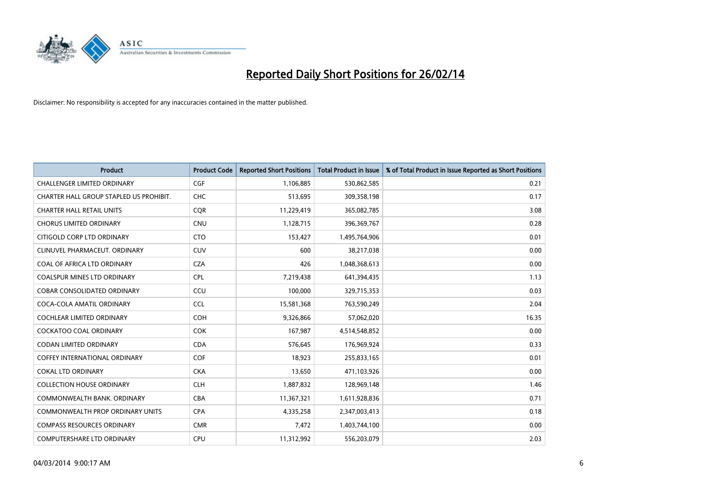

| <b>Product</b>                          | <b>Product Code</b> | <b>Reported Short Positions</b> | <b>Total Product in Issue</b> | % of Total Product in Issue Reported as Short Positions |
|-----------------------------------------|---------------------|---------------------------------|-------------------------------|---------------------------------------------------------|
| <b>CHALLENGER LIMITED ORDINARY</b>      | <b>CGF</b>          | 1,106,885                       | 530,862,585                   | 0.21                                                    |
| CHARTER HALL GROUP STAPLED US PROHIBIT. | <b>CHC</b>          | 513,695                         | 309,358,198                   | 0.17                                                    |
| <b>CHARTER HALL RETAIL UNITS</b>        | <b>COR</b>          | 11,229,419                      | 365,082,785                   | 3.08                                                    |
| <b>CHORUS LIMITED ORDINARY</b>          | <b>CNU</b>          | 1,128,715                       | 396,369,767                   | 0.28                                                    |
| CITIGOLD CORP LTD ORDINARY              | <b>CTO</b>          | 153,427                         | 1,495,764,906                 | 0.01                                                    |
| CLINUVEL PHARMACEUT, ORDINARY           | CUV                 | 600                             | 38,217,038                    | 0.00                                                    |
| COAL OF AFRICA LTD ORDINARY             | <b>CZA</b>          | 426                             | 1,048,368,613                 | 0.00                                                    |
| <b>COALSPUR MINES LTD ORDINARY</b>      | <b>CPL</b>          | 7,219,438                       | 641,394,435                   | 1.13                                                    |
| COBAR CONSOLIDATED ORDINARY             | CCU                 | 100,000                         | 329,715,353                   | 0.03                                                    |
| COCA-COLA AMATIL ORDINARY               | <b>CCL</b>          | 15,581,368                      | 763,590,249                   | 2.04                                                    |
| COCHLEAR LIMITED ORDINARY               | <b>COH</b>          | 9,326,866                       | 57,062,020                    | 16.35                                                   |
| <b>COCKATOO COAL ORDINARY</b>           | <b>COK</b>          | 167,987                         | 4,514,548,852                 | 0.00                                                    |
| <b>CODAN LIMITED ORDINARY</b>           | <b>CDA</b>          | 576,645                         | 176,969,924                   | 0.33                                                    |
| COFFEY INTERNATIONAL ORDINARY           | <b>COF</b>          | 18,923                          | 255,833,165                   | 0.01                                                    |
| <b>COKAL LTD ORDINARY</b>               | <b>CKA</b>          | 13,650                          | 471,103,926                   | 0.00                                                    |
| <b>COLLECTION HOUSE ORDINARY</b>        | <b>CLH</b>          | 1,887,832                       | 128,969,148                   | 1.46                                                    |
| COMMONWEALTH BANK, ORDINARY             | <b>CBA</b>          | 11,367,321                      | 1,611,928,836                 | 0.71                                                    |
| <b>COMMONWEALTH PROP ORDINARY UNITS</b> | <b>CPA</b>          | 4,335,258                       | 2,347,003,413                 | 0.18                                                    |
| <b>COMPASS RESOURCES ORDINARY</b>       | <b>CMR</b>          | 7,472                           | 1,403,744,100                 | 0.00                                                    |
| <b>COMPUTERSHARE LTD ORDINARY</b>       | <b>CPU</b>          | 11,312,992                      | 556,203,079                   | 2.03                                                    |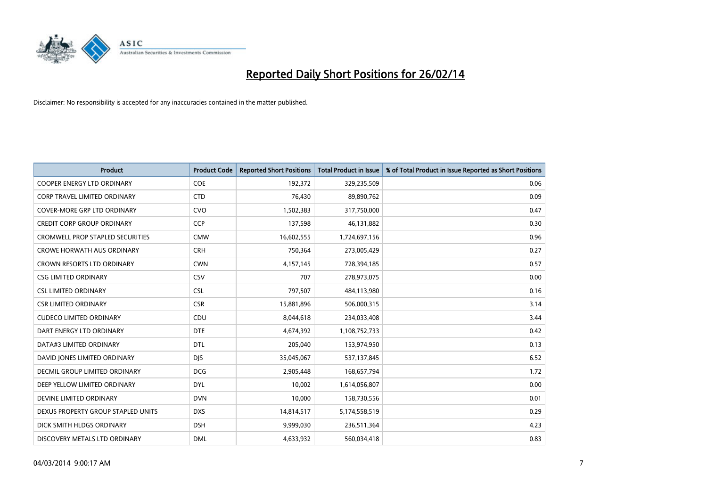

| <b>Product</b>                          | <b>Product Code</b> | <b>Reported Short Positions</b> | <b>Total Product in Issue</b> | % of Total Product in Issue Reported as Short Positions |
|-----------------------------------------|---------------------|---------------------------------|-------------------------------|---------------------------------------------------------|
| <b>COOPER ENERGY LTD ORDINARY</b>       | <b>COE</b>          | 192,372                         | 329,235,509                   | 0.06                                                    |
| <b>CORP TRAVEL LIMITED ORDINARY</b>     | <b>CTD</b>          | 76,430                          | 89,890,762                    | 0.09                                                    |
| <b>COVER-MORE GRP LTD ORDINARY</b>      | <b>CVO</b>          | 1,502,383                       | 317,750,000                   | 0.47                                                    |
| <b>CREDIT CORP GROUP ORDINARY</b>       | <b>CCP</b>          | 137,598                         | 46,131,882                    | 0.30                                                    |
| <b>CROMWELL PROP STAPLED SECURITIES</b> | <b>CMW</b>          | 16,602,555                      | 1,724,697,156                 | 0.96                                                    |
| <b>CROWE HORWATH AUS ORDINARY</b>       | <b>CRH</b>          | 750,364                         | 273,005,429                   | 0.27                                                    |
| <b>CROWN RESORTS LTD ORDINARY</b>       | <b>CWN</b>          | 4,157,145                       | 728,394,185                   | 0.57                                                    |
| <b>CSG LIMITED ORDINARY</b>             | <b>CSV</b>          | 707                             | 278,973,075                   | 0.00                                                    |
| <b>CSL LIMITED ORDINARY</b>             | <b>CSL</b>          | 797,507                         | 484,113,980                   | 0.16                                                    |
| <b>CSR LIMITED ORDINARY</b>             | <b>CSR</b>          | 15,881,896                      | 506,000,315                   | 3.14                                                    |
| <b>CUDECO LIMITED ORDINARY</b>          | CDU                 | 8,044,618                       | 234,033,408                   | 3.44                                                    |
| DART ENERGY LTD ORDINARY                | <b>DTE</b>          | 4,674,392                       | 1,108,752,733                 | 0.42                                                    |
| DATA#3 LIMITED ORDINARY                 | <b>DTL</b>          | 205,040                         | 153,974,950                   | 0.13                                                    |
| DAVID JONES LIMITED ORDINARY            | <b>DJS</b>          | 35,045,067                      | 537,137,845                   | 6.52                                                    |
| DECMIL GROUP LIMITED ORDINARY           | <b>DCG</b>          | 2,905,448                       | 168,657,794                   | 1.72                                                    |
| DEEP YELLOW LIMITED ORDINARY            | <b>DYL</b>          | 10,002                          | 1,614,056,807                 | 0.00                                                    |
| DEVINE LIMITED ORDINARY                 | <b>DVN</b>          | 10,000                          | 158,730,556                   | 0.01                                                    |
| DEXUS PROPERTY GROUP STAPLED UNITS      | <b>DXS</b>          | 14,814,517                      | 5,174,558,519                 | 0.29                                                    |
| DICK SMITH HLDGS ORDINARY               | <b>DSH</b>          | 9,999,030                       | 236,511,364                   | 4.23                                                    |
| DISCOVERY METALS LTD ORDINARY           | <b>DML</b>          | 4,633,932                       | 560,034,418                   | 0.83                                                    |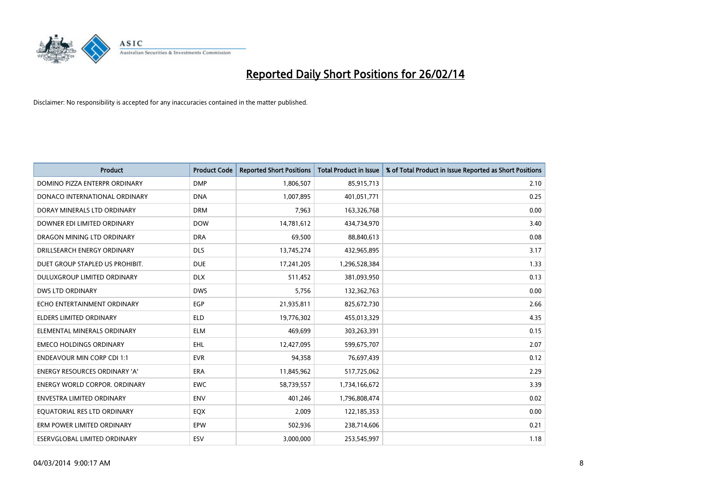

| <b>Product</b>                       | <b>Product Code</b> | <b>Reported Short Positions</b> | <b>Total Product in Issue</b> | % of Total Product in Issue Reported as Short Positions |
|--------------------------------------|---------------------|---------------------------------|-------------------------------|---------------------------------------------------------|
| DOMINO PIZZA ENTERPR ORDINARY        | <b>DMP</b>          | 1,806,507                       | 85,915,713                    | 2.10                                                    |
| DONACO INTERNATIONAL ORDINARY        | <b>DNA</b>          | 1,007,895                       | 401,051,771                   | 0.25                                                    |
| DORAY MINERALS LTD ORDINARY          | <b>DRM</b>          | 7,963                           | 163,326,768                   | 0.00                                                    |
| DOWNER EDI LIMITED ORDINARY          | <b>DOW</b>          | 14,781,612                      | 434,734,970                   | 3.40                                                    |
| DRAGON MINING LTD ORDINARY           | <b>DRA</b>          | 69,500                          | 88,840,613                    | 0.08                                                    |
| DRILLSEARCH ENERGY ORDINARY          | <b>DLS</b>          | 13,745,274                      | 432,965,895                   | 3.17                                                    |
| DUET GROUP STAPLED US PROHIBIT.      | <b>DUE</b>          | 17,241,205                      | 1,296,528,384                 | 1.33                                                    |
| DULUXGROUP LIMITED ORDINARY          | <b>DLX</b>          | 511,452                         | 381,093,950                   | 0.13                                                    |
| <b>DWS LTD ORDINARY</b>              | <b>DWS</b>          | 5,756                           | 132,362,763                   | 0.00                                                    |
| ECHO ENTERTAINMENT ORDINARY          | EGP                 | 21,935,811                      | 825,672,730                   | 2.66                                                    |
| ELDERS LIMITED ORDINARY              | <b>ELD</b>          | 19,776,302                      | 455,013,329                   | 4.35                                                    |
| ELEMENTAL MINERALS ORDINARY          | <b>ELM</b>          | 469.699                         | 303,263,391                   | 0.15                                                    |
| <b>EMECO HOLDINGS ORDINARY</b>       | EHL                 | 12,427,095                      | 599,675,707                   | 2.07                                                    |
| <b>ENDEAVOUR MIN CORP CDI 1:1</b>    | <b>EVR</b>          | 94,358                          | 76,697,439                    | 0.12                                                    |
| ENERGY RESOURCES ORDINARY 'A'        | ERA                 | 11,845,962                      | 517,725,062                   | 2.29                                                    |
| <b>ENERGY WORLD CORPOR, ORDINARY</b> | <b>EWC</b>          | 58,739,557                      | 1,734,166,672                 | 3.39                                                    |
| <b>ENVESTRA LIMITED ORDINARY</b>     | <b>ENV</b>          | 401,246                         | 1,796,808,474                 | 0.02                                                    |
| EQUATORIAL RES LTD ORDINARY          | EQX                 | 2,009                           | 122,185,353                   | 0.00                                                    |
| ERM POWER LIMITED ORDINARY           | EPW                 | 502,936                         | 238,714,606                   | 0.21                                                    |
| ESERVGLOBAL LIMITED ORDINARY         | ESV                 | 3,000,000                       | 253,545,997                   | 1.18                                                    |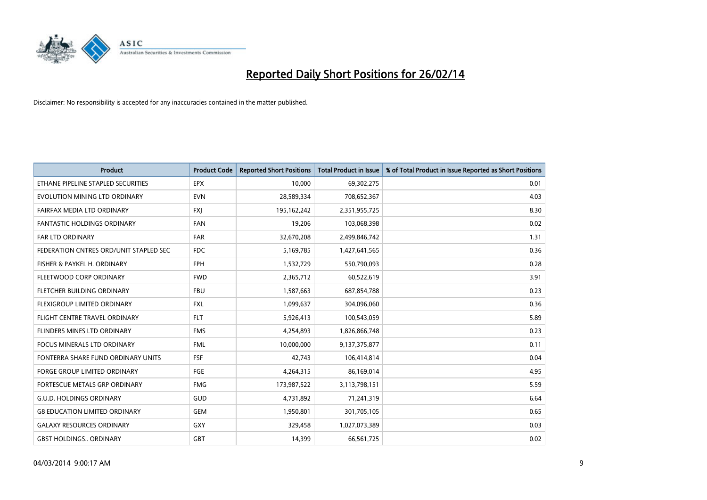

| <b>Product</b>                         | <b>Product Code</b> | <b>Reported Short Positions</b> | <b>Total Product in Issue</b> | % of Total Product in Issue Reported as Short Positions |
|----------------------------------------|---------------------|---------------------------------|-------------------------------|---------------------------------------------------------|
| ETHANE PIPELINE STAPLED SECURITIES     | <b>EPX</b>          | 10,000                          | 69,302,275                    | 0.01                                                    |
| EVOLUTION MINING LTD ORDINARY          | <b>EVN</b>          | 28,589,334                      | 708,652,367                   | 4.03                                                    |
| FAIRFAX MEDIA LTD ORDINARY             | <b>FXI</b>          | 195,162,242                     | 2,351,955,725                 | 8.30                                                    |
| <b>FANTASTIC HOLDINGS ORDINARY</b>     | <b>FAN</b>          | 19,206                          | 103,068,398                   | 0.02                                                    |
| <b>FAR LTD ORDINARY</b>                | FAR                 | 32,670,208                      | 2,499,846,742                 | 1.31                                                    |
| FEDERATION CNTRES ORD/UNIT STAPLED SEC | <b>FDC</b>          | 5,169,785                       | 1,427,641,565                 | 0.36                                                    |
| FISHER & PAYKEL H. ORDINARY            | <b>FPH</b>          | 1,532,729                       | 550,790,093                   | 0.28                                                    |
| FLEETWOOD CORP ORDINARY                | <b>FWD</b>          | 2,365,712                       | 60,522,619                    | 3.91                                                    |
| FLETCHER BUILDING ORDINARY             | <b>FBU</b>          | 1,587,663                       | 687,854,788                   | 0.23                                                    |
| FLEXIGROUP LIMITED ORDINARY            | <b>FXL</b>          | 1,099,637                       | 304,096,060                   | 0.36                                                    |
| FLIGHT CENTRE TRAVEL ORDINARY          | <b>FLT</b>          | 5,926,413                       | 100,543,059                   | 5.89                                                    |
| FLINDERS MINES LTD ORDINARY            | <b>FMS</b>          | 4,254,893                       | 1,826,866,748                 | 0.23                                                    |
| <b>FOCUS MINERALS LTD ORDINARY</b>     | <b>FML</b>          | 10,000,000                      | 9,137,375,877                 | 0.11                                                    |
| FONTERRA SHARE FUND ORDINARY UNITS     | <b>FSF</b>          | 42,743                          | 106,414,814                   | 0.04                                                    |
| FORGE GROUP LIMITED ORDINARY           | FGE                 | 4,264,315                       | 86,169,014                    | 4.95                                                    |
| FORTESCUE METALS GRP ORDINARY          | <b>FMG</b>          | 173,987,522                     | 3,113,798,151                 | 5.59                                                    |
| <b>G.U.D. HOLDINGS ORDINARY</b>        | GUD                 | 4,731,892                       | 71,241,319                    | 6.64                                                    |
| <b>G8 EDUCATION LIMITED ORDINARY</b>   | <b>GEM</b>          | 1,950,801                       | 301,705,105                   | 0.65                                                    |
| <b>GALAXY RESOURCES ORDINARY</b>       | GXY                 | 329,458                         | 1,027,073,389                 | 0.03                                                    |
| <b>GBST HOLDINGS ORDINARY</b>          | GBT                 | 14,399                          | 66,561,725                    | 0.02                                                    |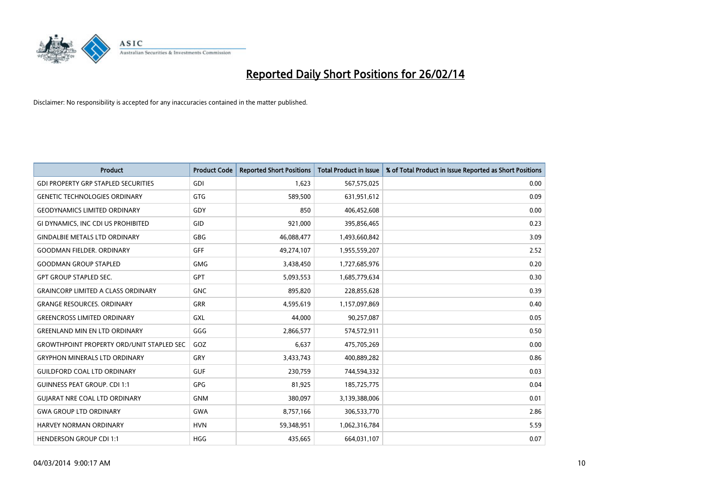

| Product                                          | <b>Product Code</b> | <b>Reported Short Positions</b> | <b>Total Product in Issue</b> | % of Total Product in Issue Reported as Short Positions |
|--------------------------------------------------|---------------------|---------------------------------|-------------------------------|---------------------------------------------------------|
| <b>GDI PROPERTY GRP STAPLED SECURITIES</b>       | GDI                 | 1,623                           | 567,575,025                   | 0.00                                                    |
| <b>GENETIC TECHNOLOGIES ORDINARY</b>             | <b>GTG</b>          | 589,500                         | 631,951,612                   | 0.09                                                    |
| <b>GEODYNAMICS LIMITED ORDINARY</b>              | GDY                 | 850                             | 406,452,608                   | 0.00                                                    |
| GI DYNAMICS, INC CDI US PROHIBITED               | <b>GID</b>          | 921,000                         | 395,856,465                   | 0.23                                                    |
| <b>GINDALBIE METALS LTD ORDINARY</b>             | <b>GBG</b>          | 46,088,477                      | 1,493,660,842                 | 3.09                                                    |
| <b>GOODMAN FIELDER, ORDINARY</b>                 | GFF                 | 49,274,107                      | 1,955,559,207                 | 2.52                                                    |
| <b>GOODMAN GROUP STAPLED</b>                     | <b>GMG</b>          | 3,438,450                       | 1,727,685,976                 | 0.20                                                    |
| <b>GPT GROUP STAPLED SEC.</b>                    | <b>GPT</b>          | 5,093,553                       | 1,685,779,634                 | 0.30                                                    |
| <b>GRAINCORP LIMITED A CLASS ORDINARY</b>        | <b>GNC</b>          | 895,820                         | 228,855,628                   | 0.39                                                    |
| <b>GRANGE RESOURCES, ORDINARY</b>                | <b>GRR</b>          | 4,595,619                       | 1,157,097,869                 | 0.40                                                    |
| <b>GREENCROSS LIMITED ORDINARY</b>               | GXL                 | 44,000                          | 90,257,087                    | 0.05                                                    |
| <b>GREENLAND MIN EN LTD ORDINARY</b>             | GGG                 | 2,866,577                       | 574,572,911                   | 0.50                                                    |
| <b>GROWTHPOINT PROPERTY ORD/UNIT STAPLED SEC</b> | GOZ                 | 6,637                           | 475,705,269                   | 0.00                                                    |
| <b>GRYPHON MINERALS LTD ORDINARY</b>             | GRY                 | 3,433,743                       | 400,889,282                   | 0.86                                                    |
| <b>GUILDFORD COAL LTD ORDINARY</b>               | <b>GUF</b>          | 230,759                         | 744,594,332                   | 0.03                                                    |
| <b>GUINNESS PEAT GROUP. CDI 1:1</b>              | <b>GPG</b>          | 81,925                          | 185,725,775                   | 0.04                                                    |
| <b>GUIARAT NRE COAL LTD ORDINARY</b>             | <b>GNM</b>          | 380,097                         | 3,139,388,006                 | 0.01                                                    |
| <b>GWA GROUP LTD ORDINARY</b>                    | <b>GWA</b>          | 8,757,166                       | 306,533,770                   | 2.86                                                    |
| HARVEY NORMAN ORDINARY                           | <b>HVN</b>          | 59,348,951                      | 1,062,316,784                 | 5.59                                                    |
| <b>HENDERSON GROUP CDI 1:1</b>                   | <b>HGG</b>          | 435,665                         | 664,031,107                   | 0.07                                                    |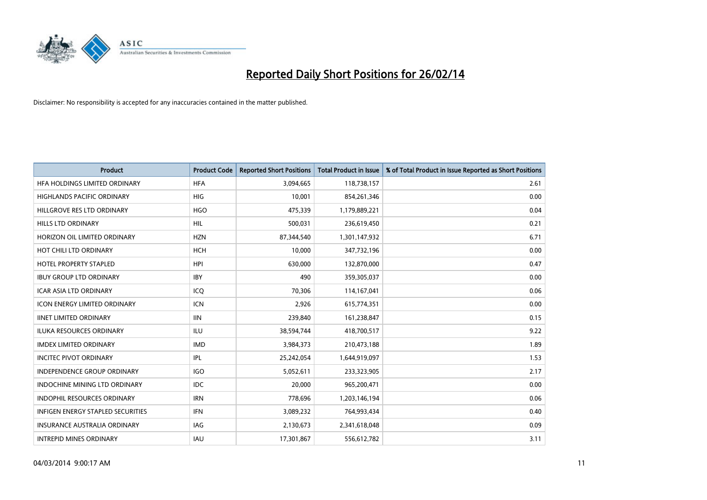

| <b>Product</b>                           | <b>Product Code</b> | <b>Reported Short Positions</b> | Total Product in Issue | % of Total Product in Issue Reported as Short Positions |
|------------------------------------------|---------------------|---------------------------------|------------------------|---------------------------------------------------------|
| HFA HOLDINGS LIMITED ORDINARY            | <b>HFA</b>          | 3,094,665                       | 118,738,157            | 2.61                                                    |
| <b>HIGHLANDS PACIFIC ORDINARY</b>        | <b>HIG</b>          | 10,001                          | 854,261,346            | 0.00                                                    |
| HILLGROVE RES LTD ORDINARY               | <b>HGO</b>          | 475,339                         | 1,179,889,221          | 0.04                                                    |
| <b>HILLS LTD ORDINARY</b>                | <b>HIL</b>          | 500,031                         | 236,619,450            | 0.21                                                    |
| HORIZON OIL LIMITED ORDINARY             | <b>HZN</b>          | 87,344,540                      | 1,301,147,932          | 6.71                                                    |
| HOT CHILI LTD ORDINARY                   | <b>HCH</b>          | 10,000                          | 347,732,196            | 0.00                                                    |
| <b>HOTEL PROPERTY STAPLED</b>            | <b>HPI</b>          | 630,000                         | 132,870,000            | 0.47                                                    |
| <b>IBUY GROUP LTD ORDINARY</b>           | <b>IBY</b>          | 490                             | 359,305,037            | 0.00                                                    |
| <b>ICAR ASIA LTD ORDINARY</b>            | ICO                 | 70,306                          | 114,167,041            | 0.06                                                    |
| <b>ICON ENERGY LIMITED ORDINARY</b>      | <b>ICN</b>          | 2,926                           | 615,774,351            | 0.00                                                    |
| <b>IINET LIMITED ORDINARY</b>            | <b>IIN</b>          | 239,840                         | 161,238,847            | 0.15                                                    |
| <b>ILUKA RESOURCES ORDINARY</b>          | ILU                 | 38,594,744                      | 418,700,517            | 9.22                                                    |
| <b>IMDEX LIMITED ORDINARY</b>            | <b>IMD</b>          | 3,984,373                       | 210,473,188            | 1.89                                                    |
| <b>INCITEC PIVOT ORDINARY</b>            | <b>IPL</b>          | 25,242,054                      | 1,644,919,097          | 1.53                                                    |
| INDEPENDENCE GROUP ORDINARY              | <b>IGO</b>          | 5,052,611                       | 233,323,905            | 2.17                                                    |
| <b>INDOCHINE MINING LTD ORDINARY</b>     | <b>IDC</b>          | 20,000                          | 965,200,471            | 0.00                                                    |
| INDOPHIL RESOURCES ORDINARY              | <b>IRN</b>          | 778,696                         | 1,203,146,194          | 0.06                                                    |
| <b>INFIGEN ENERGY STAPLED SECURITIES</b> | <b>IFN</b>          | 3,089,232                       | 764,993,434            | 0.40                                                    |
| <b>INSURANCE AUSTRALIA ORDINARY</b>      | IAG                 | 2,130,673                       | 2,341,618,048          | 0.09                                                    |
| <b>INTREPID MINES ORDINARY</b>           | <b>IAU</b>          | 17,301,867                      | 556,612,782            | 3.11                                                    |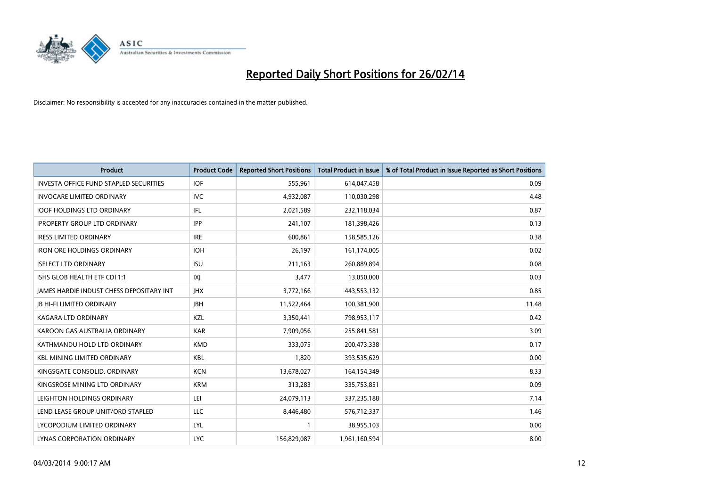

| <b>Product</b>                                | <b>Product Code</b> | <b>Reported Short Positions</b> | <b>Total Product in Issue</b> | % of Total Product in Issue Reported as Short Positions |
|-----------------------------------------------|---------------------|---------------------------------|-------------------------------|---------------------------------------------------------|
| <b>INVESTA OFFICE FUND STAPLED SECURITIES</b> | <b>IOF</b>          | 555,961                         | 614,047,458                   | 0.09                                                    |
| <b>INVOCARE LIMITED ORDINARY</b>              | <b>IVC</b>          | 4,932,087                       | 110,030,298                   | 4.48                                                    |
| <b>IOOF HOLDINGS LTD ORDINARY</b>             | IFL                 | 2,021,589                       | 232,118,034                   | 0.87                                                    |
| <b>IPROPERTY GROUP LTD ORDINARY</b>           | <b>IPP</b>          | 241,107                         | 181,398,426                   | 0.13                                                    |
| <b>IRESS LIMITED ORDINARY</b>                 | <b>IRE</b>          | 600.861                         | 158,585,126                   | 0.38                                                    |
| <b>IRON ORE HOLDINGS ORDINARY</b>             | <b>IOH</b>          | 26,197                          | 161,174,005                   | 0.02                                                    |
| <b>ISELECT LTD ORDINARY</b>                   | <b>ISU</b>          | 211,163                         | 260,889,894                   | 0.08                                                    |
| ISHS GLOB HEALTH ETF CDI 1:1                  | IXJ                 | 3,477                           | 13,050,000                    | 0.03                                                    |
| JAMES HARDIE INDUST CHESS DEPOSITARY INT      | <b>JHX</b>          | 3,772,166                       | 443,553,132                   | 0.85                                                    |
| <b>IB HI-FI LIMITED ORDINARY</b>              | <b>IBH</b>          | 11,522,464                      | 100,381,900                   | 11.48                                                   |
| <b>KAGARA LTD ORDINARY</b>                    | KZL                 | 3,350,441                       | 798,953,117                   | 0.42                                                    |
| KAROON GAS AUSTRALIA ORDINARY                 | <b>KAR</b>          | 7,909,056                       | 255,841,581                   | 3.09                                                    |
| KATHMANDU HOLD LTD ORDINARY                   | <b>KMD</b>          | 333,075                         | 200,473,338                   | 0.17                                                    |
| <b>KBL MINING LIMITED ORDINARY</b>            | <b>KBL</b>          | 1.820                           | 393,535,629                   | 0.00                                                    |
| KINGSGATE CONSOLID. ORDINARY                  | <b>KCN</b>          | 13,678,027                      | 164,154,349                   | 8.33                                                    |
| KINGSROSE MINING LTD ORDINARY                 | <b>KRM</b>          | 313,283                         | 335,753,851                   | 0.09                                                    |
| LEIGHTON HOLDINGS ORDINARY                    | LEI                 | 24,079,113                      | 337,235,188                   | 7.14                                                    |
| LEND LEASE GROUP UNIT/ORD STAPLED             | LLC                 | 8,446,480                       | 576,712,337                   | 1.46                                                    |
| LYCOPODIUM LIMITED ORDINARY                   | LYL                 | $\mathbf{1}$                    | 38,955,103                    | 0.00                                                    |
| LYNAS CORPORATION ORDINARY                    | <b>LYC</b>          | 156,829,087                     | 1,961,160,594                 | 8.00                                                    |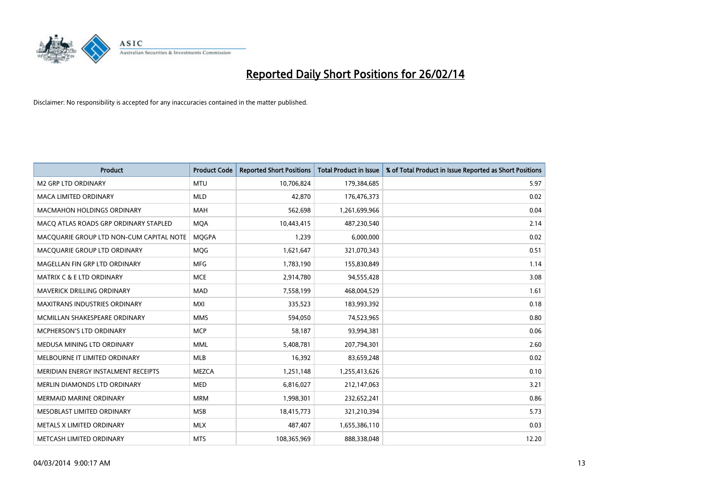

| <b>Product</b>                           | <b>Product Code</b> | <b>Reported Short Positions</b> | <b>Total Product in Issue</b> | % of Total Product in Issue Reported as Short Positions |
|------------------------------------------|---------------------|---------------------------------|-------------------------------|---------------------------------------------------------|
| <b>M2 GRP LTD ORDINARY</b>               | <b>MTU</b>          | 10,706,824                      | 179,384,685                   | 5.97                                                    |
| <b>MACA LIMITED ORDINARY</b>             | <b>MLD</b>          | 42,870                          | 176,476,373                   | 0.02                                                    |
| <b>MACMAHON HOLDINGS ORDINARY</b>        | <b>MAH</b>          | 562,698                         | 1,261,699,966                 | 0.04                                                    |
| MACO ATLAS ROADS GRP ORDINARY STAPLED    | <b>MQA</b>          | 10,443,415                      | 487,230,540                   | 2.14                                                    |
| MACQUARIE GROUP LTD NON-CUM CAPITAL NOTE | <b>MOGPA</b>        | 1,239                           | 6,000,000                     | 0.02                                                    |
| MACQUARIE GROUP LTD ORDINARY             | <b>MOG</b>          | 1,621,647                       | 321,070,343                   | 0.51                                                    |
| MAGELLAN FIN GRP LTD ORDINARY            | <b>MFG</b>          | 1,783,190                       | 155,830,849                   | 1.14                                                    |
| <b>MATRIX C &amp; E LTD ORDINARY</b>     | <b>MCE</b>          | 2,914,780                       | 94,555,428                    | 3.08                                                    |
| MAVERICK DRILLING ORDINARY               | <b>MAD</b>          | 7,558,199                       | 468,004,529                   | 1.61                                                    |
| <b>MAXITRANS INDUSTRIES ORDINARY</b>     | <b>MXI</b>          | 335,523                         | 183,993,392                   | 0.18                                                    |
| MCMILLAN SHAKESPEARE ORDINARY            | <b>MMS</b>          | 594,050                         | 74,523,965                    | 0.80                                                    |
| MCPHERSON'S LTD ORDINARY                 | <b>MCP</b>          | 58,187                          | 93,994,381                    | 0.06                                                    |
| MEDUSA MINING LTD ORDINARY               | <b>MML</b>          | 5,408,781                       | 207,794,301                   | 2.60                                                    |
| MELBOURNE IT LIMITED ORDINARY            | <b>MLB</b>          | 16,392                          | 83,659,248                    | 0.02                                                    |
| MERIDIAN ENERGY INSTALMENT RECEIPTS      | <b>MEZCA</b>        | 1,251,148                       | 1,255,413,626                 | 0.10                                                    |
| MERLIN DIAMONDS LTD ORDINARY             | <b>MED</b>          | 6,816,027                       | 212,147,063                   | 3.21                                                    |
| MERMAID MARINE ORDINARY                  | <b>MRM</b>          | 1,998,301                       | 232,652,241                   | 0.86                                                    |
| MESOBLAST LIMITED ORDINARY               | <b>MSB</b>          | 18,415,773                      | 321,210,394                   | 5.73                                                    |
| METALS X LIMITED ORDINARY                | <b>MLX</b>          | 487,407                         | 1,655,386,110                 | 0.03                                                    |
| METCASH LIMITED ORDINARY                 | <b>MTS</b>          | 108,365,969                     | 888,338,048                   | 12.20                                                   |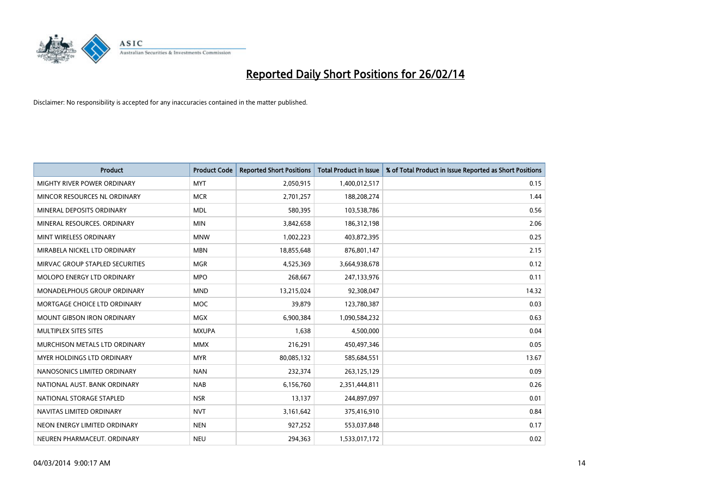

| <b>Product</b>                  | <b>Product Code</b> | <b>Reported Short Positions</b> | Total Product in Issue | % of Total Product in Issue Reported as Short Positions |
|---------------------------------|---------------------|---------------------------------|------------------------|---------------------------------------------------------|
| MIGHTY RIVER POWER ORDINARY     | <b>MYT</b>          | 2,050,915                       | 1,400,012,517          | 0.15                                                    |
| MINCOR RESOURCES NL ORDINARY    | <b>MCR</b>          | 2,701,257                       | 188,208,274            | 1.44                                                    |
| MINERAL DEPOSITS ORDINARY       | <b>MDL</b>          | 580,395                         | 103,538,786            | 0.56                                                    |
| MINERAL RESOURCES, ORDINARY     | <b>MIN</b>          | 3,842,658                       | 186,312,198            | 2.06                                                    |
| MINT WIRELESS ORDINARY          | <b>MNW</b>          | 1,002,223                       | 403,872,395            | 0.25                                                    |
| MIRABELA NICKEL LTD ORDINARY    | <b>MBN</b>          | 18,855,648                      | 876,801,147            | 2.15                                                    |
| MIRVAC GROUP STAPLED SECURITIES | <b>MGR</b>          | 4,525,369                       | 3,664,938,678          | 0.12                                                    |
| MOLOPO ENERGY LTD ORDINARY      | <b>MPO</b>          | 268,667                         | 247,133,976            | 0.11                                                    |
| MONADELPHOUS GROUP ORDINARY     | <b>MND</b>          | 13,215,024                      | 92,308,047             | 14.32                                                   |
| MORTGAGE CHOICE LTD ORDINARY    | <b>MOC</b>          | 39,879                          | 123,780,387            | 0.03                                                    |
| MOUNT GIBSON IRON ORDINARY      | MGX                 | 6,900,384                       | 1,090,584,232          | 0.63                                                    |
| MULTIPLEX SITES SITES           | <b>MXUPA</b>        | 1,638                           | 4,500,000              | 0.04                                                    |
| MURCHISON METALS LTD ORDINARY   | <b>MMX</b>          | 216,291                         | 450,497,346            | 0.05                                                    |
| MYER HOLDINGS LTD ORDINARY      | <b>MYR</b>          | 80,085,132                      | 585,684,551            | 13.67                                                   |
| NANOSONICS LIMITED ORDINARY     | <b>NAN</b>          | 232,374                         | 263,125,129            | 0.09                                                    |
| NATIONAL AUST. BANK ORDINARY    | <b>NAB</b>          | 6,156,760                       | 2,351,444,811          | 0.26                                                    |
| NATIONAL STORAGE STAPLED        | <b>NSR</b>          | 13,137                          | 244,897,097            | 0.01                                                    |
| NAVITAS LIMITED ORDINARY        | <b>NVT</b>          | 3,161,642                       | 375,416,910            | 0.84                                                    |
| NEON ENERGY LIMITED ORDINARY    | <b>NEN</b>          | 927,252                         | 553,037,848            | 0.17                                                    |
| NEUREN PHARMACEUT. ORDINARY     | <b>NEU</b>          | 294,363                         | 1,533,017,172          | 0.02                                                    |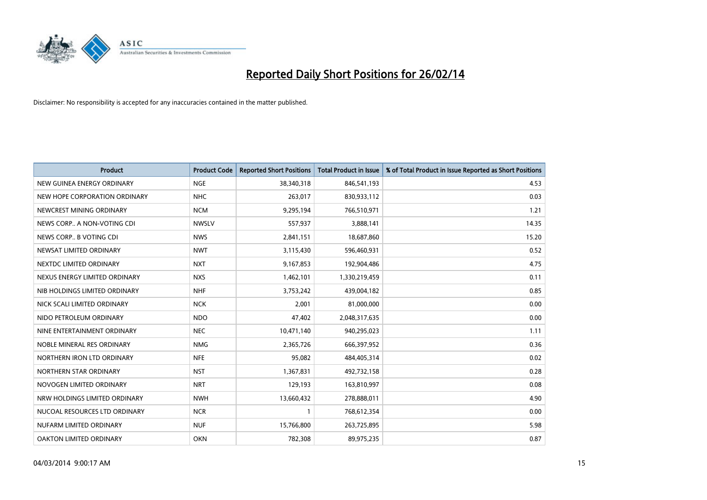

| <b>Product</b>                 | <b>Product Code</b> | <b>Reported Short Positions</b> | Total Product in Issue | % of Total Product in Issue Reported as Short Positions |
|--------------------------------|---------------------|---------------------------------|------------------------|---------------------------------------------------------|
| NEW GUINEA ENERGY ORDINARY     | <b>NGE</b>          | 38,340,318                      | 846,541,193            | 4.53                                                    |
| NEW HOPE CORPORATION ORDINARY  | <b>NHC</b>          | 263,017                         | 830,933,112            | 0.03                                                    |
| NEWCREST MINING ORDINARY       | <b>NCM</b>          | 9,295,194                       | 766,510,971            | 1.21                                                    |
| NEWS CORP A NON-VOTING CDI     | <b>NWSLV</b>        | 557,937                         | 3,888,141              | 14.35                                                   |
| NEWS CORP B VOTING CDI         | <b>NWS</b>          | 2,841,151                       | 18,687,860             | 15.20                                                   |
| NEWSAT LIMITED ORDINARY        | <b>NWT</b>          | 3,115,430                       | 596,460,931            | 0.52                                                    |
| NEXTDC LIMITED ORDINARY        | <b>NXT</b>          | 9,167,853                       | 192,904,486            | 4.75                                                    |
| NEXUS ENERGY LIMITED ORDINARY  | <b>NXS</b>          | 1,462,101                       | 1,330,219,459          | 0.11                                                    |
| NIB HOLDINGS LIMITED ORDINARY  | <b>NHF</b>          | 3,753,242                       | 439,004,182            | 0.85                                                    |
| NICK SCALI LIMITED ORDINARY    | <b>NCK</b>          | 2,001                           | 81,000,000             | 0.00                                                    |
| NIDO PETROLEUM ORDINARY        | <b>NDO</b>          | 47,402                          | 2,048,317,635          | 0.00                                                    |
| NINE ENTERTAINMENT ORDINARY    | <b>NEC</b>          | 10,471,140                      | 940,295,023            | 1.11                                                    |
| NOBLE MINERAL RES ORDINARY     | <b>NMG</b>          | 2,365,726                       | 666,397,952            | 0.36                                                    |
| NORTHERN IRON LTD ORDINARY     | <b>NFE</b>          | 95,082                          | 484,405,314            | 0.02                                                    |
| NORTHERN STAR ORDINARY         | <b>NST</b>          | 1,367,831                       | 492,732,158            | 0.28                                                    |
| NOVOGEN LIMITED ORDINARY       | <b>NRT</b>          | 129,193                         | 163,810,997            | 0.08                                                    |
| NRW HOLDINGS LIMITED ORDINARY  | <b>NWH</b>          | 13,660,432                      | 278,888,011            | 4.90                                                    |
| NUCOAL RESOURCES LTD ORDINARY  | <b>NCR</b>          |                                 | 768,612,354            | 0.00                                                    |
| NUFARM LIMITED ORDINARY        | <b>NUF</b>          | 15,766,800                      | 263,725,895            | 5.98                                                    |
| <b>OAKTON LIMITED ORDINARY</b> | <b>OKN</b>          | 782,308                         | 89,975,235             | 0.87                                                    |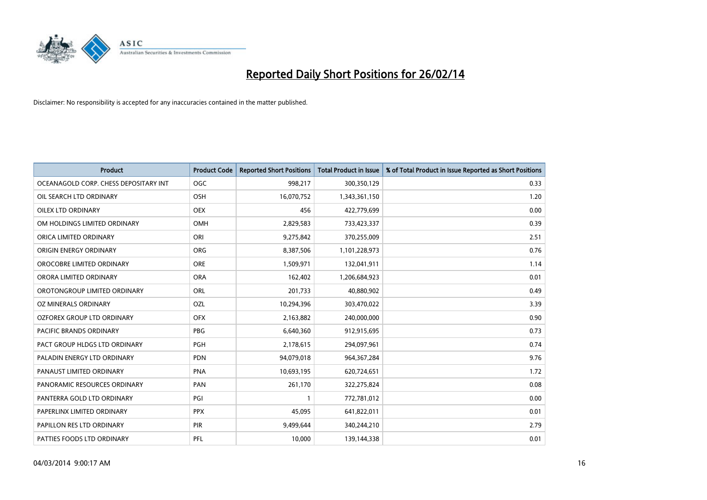

| <b>Product</b>                        | <b>Product Code</b> | <b>Reported Short Positions</b> | <b>Total Product in Issue</b> | % of Total Product in Issue Reported as Short Positions |
|---------------------------------------|---------------------|---------------------------------|-------------------------------|---------------------------------------------------------|
| OCEANAGOLD CORP. CHESS DEPOSITARY INT | <b>OGC</b>          | 998,217                         | 300,350,129                   | 0.33                                                    |
| OIL SEARCH LTD ORDINARY               | OSH                 | 16,070,752                      | 1,343,361,150                 | 1.20                                                    |
| OILEX LTD ORDINARY                    | <b>OEX</b>          | 456                             | 422,779,699                   | 0.00                                                    |
| OM HOLDINGS LIMITED ORDINARY          | <b>OMH</b>          | 2,829,583                       | 733,423,337                   | 0.39                                                    |
| ORICA LIMITED ORDINARY                | ORI                 | 9,275,842                       | 370,255,009                   | 2.51                                                    |
| ORIGIN ENERGY ORDINARY                | <b>ORG</b>          | 8,387,506                       | 1,101,228,973                 | 0.76                                                    |
| OROCOBRE LIMITED ORDINARY             | <b>ORE</b>          | 1,509,971                       | 132,041,911                   | 1.14                                                    |
| ORORA LIMITED ORDINARY                | <b>ORA</b>          | 162,402                         | 1,206,684,923                 | 0.01                                                    |
| OROTONGROUP LIMITED ORDINARY          | <b>ORL</b>          | 201,733                         | 40,880,902                    | 0.49                                                    |
| OZ MINERALS ORDINARY                  | <b>OZL</b>          | 10,294,396                      | 303,470,022                   | 3.39                                                    |
| <b>OZFOREX GROUP LTD ORDINARY</b>     | <b>OFX</b>          | 2,163,882                       | 240,000,000                   | 0.90                                                    |
| PACIFIC BRANDS ORDINARY               | <b>PBG</b>          | 6,640,360                       | 912,915,695                   | 0.73                                                    |
| PACT GROUP HLDGS LTD ORDINARY         | PGH                 | 2,178,615                       | 294,097,961                   | 0.74                                                    |
| PALADIN ENERGY LTD ORDINARY           | <b>PDN</b>          | 94,079,018                      | 964, 367, 284                 | 9.76                                                    |
| PANAUST LIMITED ORDINARY              | PNA                 | 10,693,195                      | 620,724,651                   | 1.72                                                    |
| PANORAMIC RESOURCES ORDINARY          | PAN                 | 261,170                         | 322,275,824                   | 0.08                                                    |
| PANTERRA GOLD LTD ORDINARY            | PGI                 | $\mathbf{1}$                    | 772,781,012                   | 0.00                                                    |
| PAPERLINX LIMITED ORDINARY            | <b>PPX</b>          | 45,095                          | 641,822,011                   | 0.01                                                    |
| PAPILLON RES LTD ORDINARY             | <b>PIR</b>          | 9,499,644                       | 340,244,210                   | 2.79                                                    |
| PATTIES FOODS LTD ORDINARY            | PFL                 | 10,000                          | 139,144,338                   | 0.01                                                    |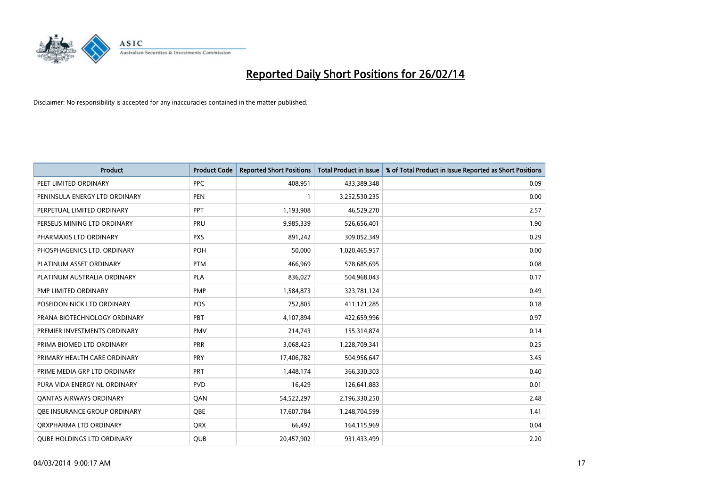

| <b>Product</b>                    | <b>Product Code</b> | <b>Reported Short Positions</b> | <b>Total Product in Issue</b> | % of Total Product in Issue Reported as Short Positions |
|-----------------------------------|---------------------|---------------------------------|-------------------------------|---------------------------------------------------------|
| PEET LIMITED ORDINARY             | <b>PPC</b>          | 408,951                         | 433,389,348                   | 0.09                                                    |
| PENINSULA ENERGY LTD ORDINARY     | <b>PEN</b>          |                                 | 3,252,530,235                 | 0.00                                                    |
| PERPETUAL LIMITED ORDINARY        | PPT                 | 1,193,908                       | 46,529,270                    | 2.57                                                    |
| PERSEUS MINING LTD ORDINARY       | PRU                 | 9,985,339                       | 526,656,401                   | 1.90                                                    |
| PHARMAXIS LTD ORDINARY            | <b>PXS</b>          | 891,242                         | 309,052,349                   | 0.29                                                    |
| PHOSPHAGENICS LTD. ORDINARY       | <b>POH</b>          | 50,000                          | 1,020,465,957                 | 0.00                                                    |
| PLATINUM ASSET ORDINARY           | <b>PTM</b>          | 466,969                         | 578,685,695                   | 0.08                                                    |
| PLATINUM AUSTRALIA ORDINARY       | <b>PLA</b>          | 836,027                         | 504,968,043                   | 0.17                                                    |
| PMP LIMITED ORDINARY              | <b>PMP</b>          | 1,584,873                       | 323,781,124                   | 0.49                                                    |
| POSEIDON NICK LTD ORDINARY        | POS                 | 752,805                         | 411,121,285                   | 0.18                                                    |
| PRANA BIOTECHNOLOGY ORDINARY      | PBT                 | 4,107,894                       | 422,659,996                   | 0.97                                                    |
| PREMIER INVESTMENTS ORDINARY      | <b>PMV</b>          | 214,743                         | 155,314,874                   | 0.14                                                    |
| PRIMA BIOMED LTD ORDINARY         | <b>PRR</b>          | 3,068,425                       | 1,228,709,341                 | 0.25                                                    |
| PRIMARY HEALTH CARE ORDINARY      | <b>PRY</b>          | 17,406,782                      | 504,956,647                   | 3.45                                                    |
| PRIME MEDIA GRP LTD ORDINARY      | PRT                 | 1,448,174                       | 366,330,303                   | 0.40                                                    |
| PURA VIDA ENERGY NL ORDINARY      | <b>PVD</b>          | 16,429                          | 126,641,883                   | 0.01                                                    |
| <b>QANTAS AIRWAYS ORDINARY</b>    | QAN                 | 54,522,297                      | 2,196,330,250                 | 2.48                                                    |
| OBE INSURANCE GROUP ORDINARY      | OBE                 | 17,607,784                      | 1,248,704,599                 | 1.41                                                    |
| ORXPHARMA LTD ORDINARY            | <b>QRX</b>          | 66,492                          | 164,115,969                   | 0.04                                                    |
| <b>QUBE HOLDINGS LTD ORDINARY</b> | QUB                 | 20,457,902                      | 931,433,499                   | 2.20                                                    |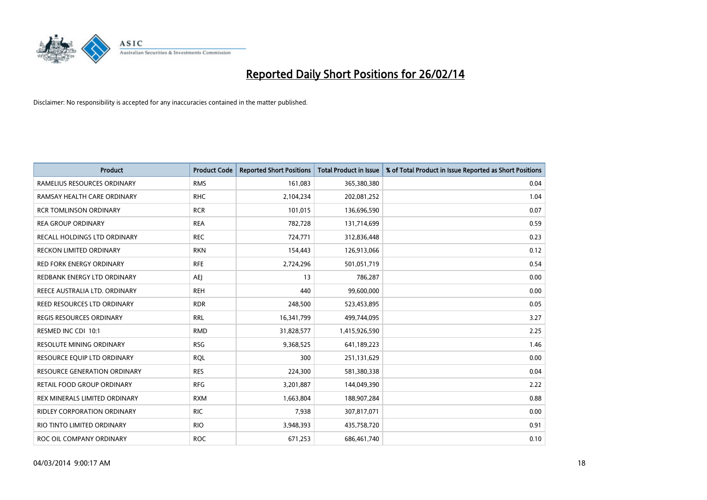

| <b>Product</b>                     | <b>Product Code</b> | <b>Reported Short Positions</b> | <b>Total Product in Issue</b> | % of Total Product in Issue Reported as Short Positions |
|------------------------------------|---------------------|---------------------------------|-------------------------------|---------------------------------------------------------|
| RAMELIUS RESOURCES ORDINARY        | <b>RMS</b>          | 161,083                         | 365,380,380                   | 0.04                                                    |
| RAMSAY HEALTH CARE ORDINARY        | <b>RHC</b>          | 2,104,234                       | 202,081,252                   | 1.04                                                    |
| <b>RCR TOMLINSON ORDINARY</b>      | <b>RCR</b>          | 101,015                         | 136,696,590                   | 0.07                                                    |
| <b>REA GROUP ORDINARY</b>          | <b>REA</b>          | 782,728                         | 131,714,699                   | 0.59                                                    |
| RECALL HOLDINGS LTD ORDINARY       | <b>REC</b>          | 724,771                         | 312,836,448                   | 0.23                                                    |
| RECKON LIMITED ORDINARY            | <b>RKN</b>          | 154,443                         | 126,913,066                   | 0.12                                                    |
| RED FORK ENERGY ORDINARY           | <b>RFE</b>          | 2,724,296                       | 501,051,719                   | 0.54                                                    |
| REDBANK ENERGY LTD ORDINARY        | AEJ                 | 13                              | 786,287                       | 0.00                                                    |
| REECE AUSTRALIA LTD. ORDINARY      | <b>REH</b>          | 440                             | 99,600,000                    | 0.00                                                    |
| <b>REED RESOURCES LTD ORDINARY</b> | <b>RDR</b>          | 248,500                         | 523,453,895                   | 0.05                                                    |
| <b>REGIS RESOURCES ORDINARY</b>    | <b>RRL</b>          | 16,341,799                      | 499,744,095                   | 3.27                                                    |
| RESMED INC CDI 10:1                | <b>RMD</b>          | 31,828,577                      | 1,415,926,590                 | 2.25                                                    |
| RESOLUTE MINING ORDINARY           | <b>RSG</b>          | 9,368,525                       | 641,189,223                   | 1.46                                                    |
| RESOURCE EQUIP LTD ORDINARY        | <b>RQL</b>          | 300                             | 251,131,629                   | 0.00                                                    |
| RESOURCE GENERATION ORDINARY       | <b>RES</b>          | 224,300                         | 581,380,338                   | 0.04                                                    |
| RETAIL FOOD GROUP ORDINARY         | <b>RFG</b>          | 3,201,887                       | 144,049,390                   | 2.22                                                    |
| REX MINERALS LIMITED ORDINARY      | <b>RXM</b>          | 1,663,804                       | 188,907,284                   | 0.88                                                    |
| <b>RIDLEY CORPORATION ORDINARY</b> | <b>RIC</b>          | 7,938                           | 307,817,071                   | 0.00                                                    |
| RIO TINTO LIMITED ORDINARY         | <b>RIO</b>          | 3,948,393                       | 435,758,720                   | 0.91                                                    |
| ROC OIL COMPANY ORDINARY           | <b>ROC</b>          | 671,253                         | 686,461,740                   | 0.10                                                    |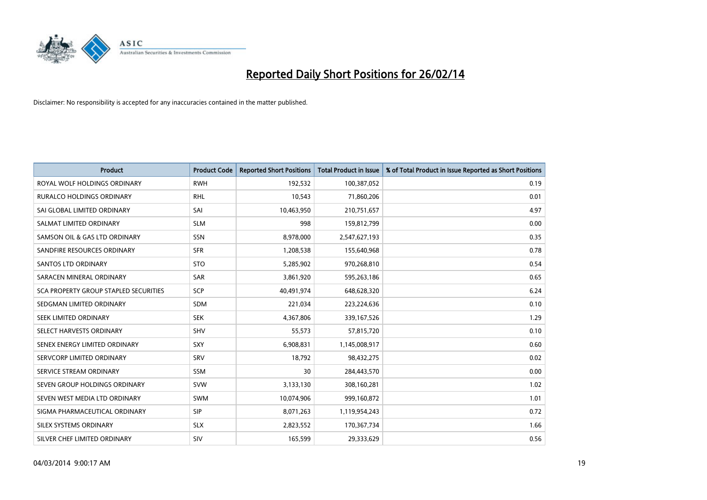

| <b>Product</b>                               | <b>Product Code</b> | <b>Reported Short Positions</b> | <b>Total Product in Issue</b> | % of Total Product in Issue Reported as Short Positions |
|----------------------------------------------|---------------------|---------------------------------|-------------------------------|---------------------------------------------------------|
| ROYAL WOLF HOLDINGS ORDINARY                 | <b>RWH</b>          | 192,532                         | 100,387,052                   | 0.19                                                    |
| <b>RURALCO HOLDINGS ORDINARY</b>             | <b>RHL</b>          | 10,543                          | 71,860,206                    | 0.01                                                    |
| SAI GLOBAL LIMITED ORDINARY                  | SAI                 | 10,463,950                      | 210,751,657                   | 4.97                                                    |
| SALMAT LIMITED ORDINARY                      | <b>SLM</b>          | 998                             | 159,812,799                   | 0.00                                                    |
| SAMSON OIL & GAS LTD ORDINARY                | <b>SSN</b>          | 8,978,000                       | 2,547,627,193                 | 0.35                                                    |
| SANDFIRE RESOURCES ORDINARY                  | <b>SFR</b>          | 1,208,538                       | 155,640,968                   | 0.78                                                    |
| SANTOS LTD ORDINARY                          | <b>STO</b>          | 5,285,902                       | 970,268,810                   | 0.54                                                    |
| SARACEN MINERAL ORDINARY                     | SAR                 | 3,861,920                       | 595,263,186                   | 0.65                                                    |
| <b>SCA PROPERTY GROUP STAPLED SECURITIES</b> | <b>SCP</b>          | 40.491.974                      | 648,628,320                   | 6.24                                                    |
| SEDGMAN LIMITED ORDINARY                     | <b>SDM</b>          | 221,034                         | 223,224,636                   | 0.10                                                    |
| SEEK LIMITED ORDINARY                        | <b>SEK</b>          | 4,367,806                       | 339,167,526                   | 1.29                                                    |
| SELECT HARVESTS ORDINARY                     | <b>SHV</b>          | 55,573                          | 57,815,720                    | 0.10                                                    |
| SENEX ENERGY LIMITED ORDINARY                | <b>SXY</b>          | 6,908,831                       | 1,145,008,917                 | 0.60                                                    |
| SERVCORP LIMITED ORDINARY                    | <b>SRV</b>          | 18,792                          | 98,432,275                    | 0.02                                                    |
| SERVICE STREAM ORDINARY                      | <b>SSM</b>          | 30                              | 284,443,570                   | 0.00                                                    |
| SEVEN GROUP HOLDINGS ORDINARY                | <b>SVW</b>          | 3,133,130                       | 308,160,281                   | 1.02                                                    |
| SEVEN WEST MEDIA LTD ORDINARY                | SWM                 | 10,074,906                      | 999,160,872                   | 1.01                                                    |
| SIGMA PHARMACEUTICAL ORDINARY                | <b>SIP</b>          | 8,071,263                       | 1,119,954,243                 | 0.72                                                    |
| SILEX SYSTEMS ORDINARY                       | <b>SLX</b>          | 2,823,552                       | 170,367,734                   | 1.66                                                    |
| SILVER CHEF LIMITED ORDINARY                 | <b>SIV</b>          | 165,599                         | 29,333,629                    | 0.56                                                    |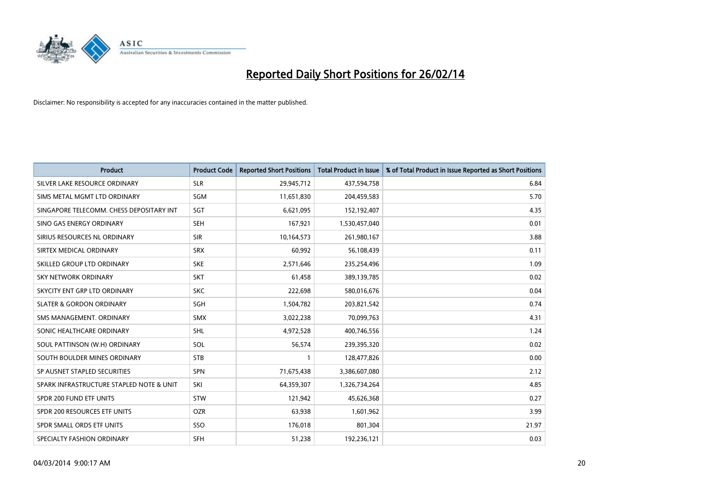

| <b>Product</b>                           | <b>Product Code</b> | <b>Reported Short Positions</b> | <b>Total Product in Issue</b> | % of Total Product in Issue Reported as Short Positions |
|------------------------------------------|---------------------|---------------------------------|-------------------------------|---------------------------------------------------------|
| SILVER LAKE RESOURCE ORDINARY            | <b>SLR</b>          | 29,945,712                      | 437,594,758                   | 6.84                                                    |
| SIMS METAL MGMT LTD ORDINARY             | SGM                 | 11,651,830                      | 204,459,583                   | 5.70                                                    |
| SINGAPORE TELECOMM. CHESS DEPOSITARY INT | SGT                 | 6,621,095                       | 152,192,407                   | 4.35                                                    |
| SINO GAS ENERGY ORDINARY                 | <b>SEH</b>          | 167,921                         | 1,530,457,040                 | 0.01                                                    |
| SIRIUS RESOURCES NL ORDINARY             | <b>SIR</b>          | 10,164,573                      | 261,980,167                   | 3.88                                                    |
| SIRTEX MEDICAL ORDINARY                  | <b>SRX</b>          | 60,992                          | 56,108,439                    | 0.11                                                    |
| SKILLED GROUP LTD ORDINARY               | <b>SKE</b>          | 2,571,646                       | 235,254,496                   | 1.09                                                    |
| SKY NETWORK ORDINARY                     | <b>SKT</b>          | 61,458                          | 389,139,785                   | 0.02                                                    |
| SKYCITY ENT GRP LTD ORDINARY             | <b>SKC</b>          | 222,698                         | 580,016,676                   | 0.04                                                    |
| <b>SLATER &amp; GORDON ORDINARY</b>      | SGH                 | 1,504,782                       | 203,821,542                   | 0.74                                                    |
| SMS MANAGEMENT. ORDINARY                 | SMX                 | 3,022,238                       | 70,099,763                    | 4.31                                                    |
| SONIC HEALTHCARE ORDINARY                | <b>SHL</b>          | 4,972,528                       | 400,746,556                   | 1.24                                                    |
| SOUL PATTINSON (W.H) ORDINARY            | <b>SOL</b>          | 56,574                          | 239,395,320                   | 0.02                                                    |
| SOUTH BOULDER MINES ORDINARY             | <b>STB</b>          | $\mathbf{1}$                    | 128,477,826                   | 0.00                                                    |
| SP AUSNET STAPLED SECURITIES             | SPN                 | 71,675,438                      | 3,386,607,080                 | 2.12                                                    |
| SPARK INFRASTRUCTURE STAPLED NOTE & UNIT | SKI                 | 64,359,307                      | 1,326,734,264                 | 4.85                                                    |
| SPDR 200 FUND ETF UNITS                  | <b>STW</b>          | 121,942                         | 45,626,368                    | 0.27                                                    |
| SPDR 200 RESOURCES ETF UNITS             | <b>OZR</b>          | 63.938                          | 1,601,962                     | 3.99                                                    |
| SPDR SMALL ORDS ETF UNITS                | SSO                 | 176,018                         | 801,304                       | 21.97                                                   |
| SPECIALTY FASHION ORDINARY               | SFH                 | 51,238                          | 192,236,121                   | 0.03                                                    |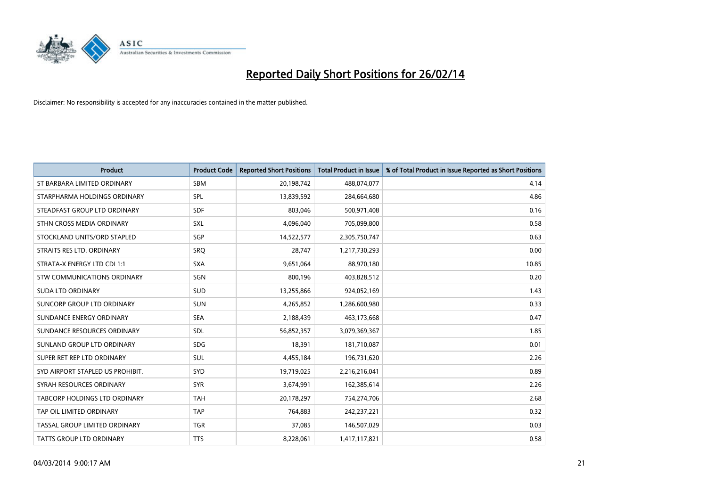

| <b>Product</b>                       | <b>Product Code</b> | <b>Reported Short Positions</b> | Total Product in Issue | % of Total Product in Issue Reported as Short Positions |
|--------------------------------------|---------------------|---------------------------------|------------------------|---------------------------------------------------------|
| ST BARBARA LIMITED ORDINARY          | <b>SBM</b>          | 20,198,742                      | 488,074,077            | 4.14                                                    |
| STARPHARMA HOLDINGS ORDINARY         | <b>SPL</b>          | 13,839,592                      | 284,664,680            | 4.86                                                    |
| STEADFAST GROUP LTD ORDINARY         | <b>SDF</b>          | 803,046                         | 500,971,408            | 0.16                                                    |
| STHN CROSS MEDIA ORDINARY            | SXL                 | 4,096,040                       | 705,099,800            | 0.58                                                    |
| STOCKLAND UNITS/ORD STAPLED          | <b>SGP</b>          | 14,522,577                      | 2,305,750,747          | 0.63                                                    |
| STRAITS RES LTD. ORDINARY            | SRQ                 | 28,747                          | 1,217,730,293          | 0.00                                                    |
| STRATA-X ENERGY LTD CDI 1:1          | <b>SXA</b>          | 9,651,064                       | 88,970,180             | 10.85                                                   |
| STW COMMUNICATIONS ORDINARY          | SGN                 | 800,196                         | 403,828,512            | 0.20                                                    |
| <b>SUDA LTD ORDINARY</b>             | <b>SUD</b>          | 13,255,866                      | 924,052,169            | 1.43                                                    |
| SUNCORP GROUP LTD ORDINARY           | <b>SUN</b>          | 4,265,852                       | 1,286,600,980          | 0.33                                                    |
| SUNDANCE ENERGY ORDINARY             | <b>SEA</b>          | 2,188,439                       | 463,173,668            | 0.47                                                    |
| SUNDANCE RESOURCES ORDINARY          | SDL                 | 56,852,357                      | 3,079,369,367          | 1.85                                                    |
| SUNLAND GROUP LTD ORDINARY           | <b>SDG</b>          | 18.391                          | 181,710,087            | 0.01                                                    |
| SUPER RET REP LTD ORDINARY           | <b>SUL</b>          | 4,455,184                       | 196,731,620            | 2.26                                                    |
| SYD AIRPORT STAPLED US PROHIBIT.     | <b>SYD</b>          | 19,719,025                      | 2,216,216,041          | 0.89                                                    |
| SYRAH RESOURCES ORDINARY             | <b>SYR</b>          | 3,674,991                       | 162,385,614            | 2.26                                                    |
| <b>TABCORP HOLDINGS LTD ORDINARY</b> | <b>TAH</b>          | 20,178,297                      | 754,274,706            | 2.68                                                    |
| TAP OIL LIMITED ORDINARY             | <b>TAP</b>          | 764,883                         | 242,237,221            | 0.32                                                    |
| TASSAL GROUP LIMITED ORDINARY        | <b>TGR</b>          | 37,085                          | 146,507,029            | 0.03                                                    |
| <b>TATTS GROUP LTD ORDINARY</b>      | <b>TTS</b>          | 8.228.061                       | 1,417,117,821          | 0.58                                                    |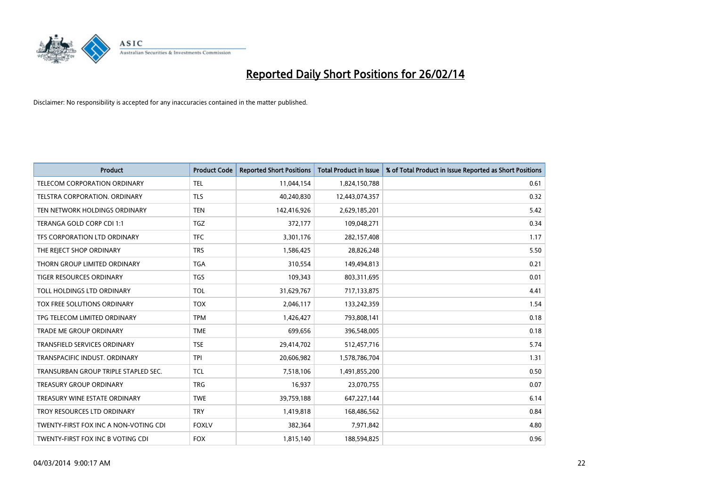

| <b>Product</b>                        | <b>Product Code</b> | <b>Reported Short Positions</b> | <b>Total Product in Issue</b> | % of Total Product in Issue Reported as Short Positions |
|---------------------------------------|---------------------|---------------------------------|-------------------------------|---------------------------------------------------------|
| <b>TELECOM CORPORATION ORDINARY</b>   | <b>TEL</b>          | 11,044,154                      | 1,824,150,788                 | 0.61                                                    |
| TELSTRA CORPORATION. ORDINARY         | <b>TLS</b>          | 40,240,830                      | 12,443,074,357                | 0.32                                                    |
| TEN NETWORK HOLDINGS ORDINARY         | <b>TEN</b>          | 142,416,926                     | 2,629,185,201                 | 5.42                                                    |
| TERANGA GOLD CORP CDI 1:1             | <b>TGZ</b>          | 372,177                         | 109.048.271                   | 0.34                                                    |
| TFS CORPORATION LTD ORDINARY          | <b>TFC</b>          | 3,301,176                       | 282,157,408                   | 1.17                                                    |
| THE REJECT SHOP ORDINARY              | <b>TRS</b>          | 1,586,425                       | 28,826,248                    | 5.50                                                    |
| THORN GROUP LIMITED ORDINARY          | <b>TGA</b>          | 310,554                         | 149,494,813                   | 0.21                                                    |
| TIGER RESOURCES ORDINARY              | <b>TGS</b>          | 109,343                         | 803,311,695                   | 0.01                                                    |
| TOLL HOLDINGS LTD ORDINARY            | <b>TOL</b>          | 31,629,767                      | 717,133,875                   | 4.41                                                    |
| TOX FREE SOLUTIONS ORDINARY           | <b>TOX</b>          | 2,046,117                       | 133,242,359                   | 1.54                                                    |
| TPG TELECOM LIMITED ORDINARY          | <b>TPM</b>          | 1,426,427                       | 793,808,141                   | 0.18                                                    |
| <b>TRADE ME GROUP ORDINARY</b>        | <b>TME</b>          | 699,656                         | 396,548,005                   | 0.18                                                    |
| TRANSFIELD SERVICES ORDINARY          | <b>TSE</b>          | 29,414,702                      | 512,457,716                   | 5.74                                                    |
| TRANSPACIFIC INDUST, ORDINARY         | <b>TPI</b>          | 20,606,982                      | 1,578,786,704                 | 1.31                                                    |
| TRANSURBAN GROUP TRIPLE STAPLED SEC.  | <b>TCL</b>          | 7,518,106                       | 1,491,855,200                 | 0.50                                                    |
| <b>TREASURY GROUP ORDINARY</b>        | <b>TRG</b>          | 16.937                          | 23,070,755                    | 0.07                                                    |
| TREASURY WINE ESTATE ORDINARY         | <b>TWE</b>          | 39,759,188                      | 647,227,144                   | 6.14                                                    |
| TROY RESOURCES LTD ORDINARY           | <b>TRY</b>          | 1,419,818                       | 168,486,562                   | 0.84                                                    |
| TWENTY-FIRST FOX INC A NON-VOTING CDI | <b>FOXLV</b>        | 382,364                         | 7,971,842                     | 4.80                                                    |
| TWENTY-FIRST FOX INC B VOTING CDI     | <b>FOX</b>          | 1,815,140                       | 188,594,825                   | 0.96                                                    |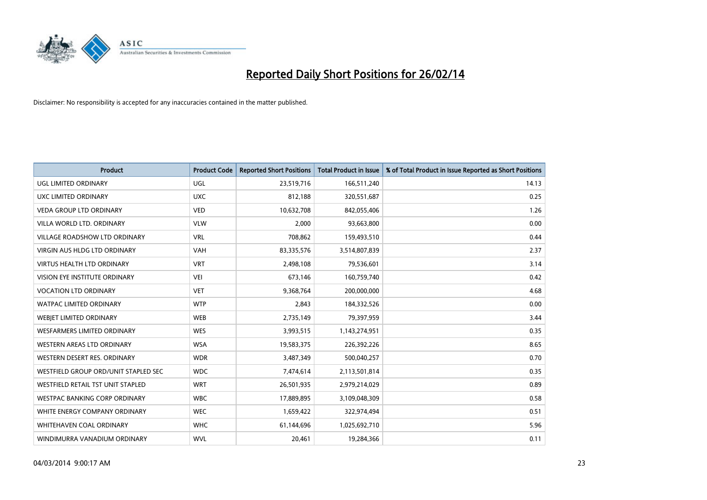

| <b>Product</b>                           | <b>Product Code</b> | <b>Reported Short Positions</b> | Total Product in Issue | % of Total Product in Issue Reported as Short Positions |
|------------------------------------------|---------------------|---------------------------------|------------------------|---------------------------------------------------------|
| UGL LIMITED ORDINARY                     | UGL                 | 23,519,716                      | 166,511,240            | 14.13                                                   |
| UXC LIMITED ORDINARY                     | <b>UXC</b>          | 812,188                         | 320,551,687            | 0.25                                                    |
| <b>VEDA GROUP LTD ORDINARY</b>           | <b>VED</b>          | 10,632,708                      | 842,055,406            | 1.26                                                    |
| VILLA WORLD LTD, ORDINARY                | <b>VLW</b>          | 2,000                           | 93,663,800             | 0.00                                                    |
| <b>VILLAGE ROADSHOW LTD ORDINARY</b>     | <b>VRL</b>          | 708,862                         | 159,493,510            | 0.44                                                    |
| <b>VIRGIN AUS HLDG LTD ORDINARY</b>      | <b>VAH</b>          | 83,335,576                      | 3,514,807,839          | 2.37                                                    |
| <b>VIRTUS HEALTH LTD ORDINARY</b>        | <b>VRT</b>          | 2,498,108                       | 79,536,601             | 3.14                                                    |
| <b>VISION EYE INSTITUTE ORDINARY</b>     | VEI                 | 673,146                         | 160,759,740            | 0.42                                                    |
| <b>VOCATION LTD ORDINARY</b>             | <b>VET</b>          | 9,368,764                       | 200,000,000            | 4.68                                                    |
| <b>WATPAC LIMITED ORDINARY</b>           | <b>WTP</b>          | 2,843                           | 184,332,526            | 0.00                                                    |
| WEBIET LIMITED ORDINARY                  | <b>WEB</b>          | 2,735,149                       | 79,397,959             | 3.44                                                    |
| <b>WESFARMERS LIMITED ORDINARY</b>       | <b>WES</b>          | 3,993,515                       | 1,143,274,951          | 0.35                                                    |
| WESTERN AREAS LTD ORDINARY               | <b>WSA</b>          | 19,583,375                      | 226,392,226            | 8.65                                                    |
| WESTERN DESERT RES. ORDINARY             | <b>WDR</b>          | 3,487,349                       | 500,040,257            | 0.70                                                    |
| WESTFIELD GROUP ORD/UNIT STAPLED SEC     | <b>WDC</b>          | 7,474,614                       | 2,113,501,814          | 0.35                                                    |
| <b>WESTFIELD RETAIL TST UNIT STAPLED</b> | <b>WRT</b>          | 26,501,935                      | 2,979,214,029          | 0.89                                                    |
| WESTPAC BANKING CORP ORDINARY            | <b>WBC</b>          | 17,889,895                      | 3,109,048,309          | 0.58                                                    |
| WHITE ENERGY COMPANY ORDINARY            | <b>WEC</b>          | 1,659,422                       | 322,974,494            | 0.51                                                    |
| WHITEHAVEN COAL ORDINARY                 | <b>WHC</b>          | 61,144,696                      | 1,025,692,710          | 5.96                                                    |
| WINDIMURRA VANADIUM ORDINARY             | <b>WVL</b>          | 20,461                          | 19,284,366             | 0.11                                                    |